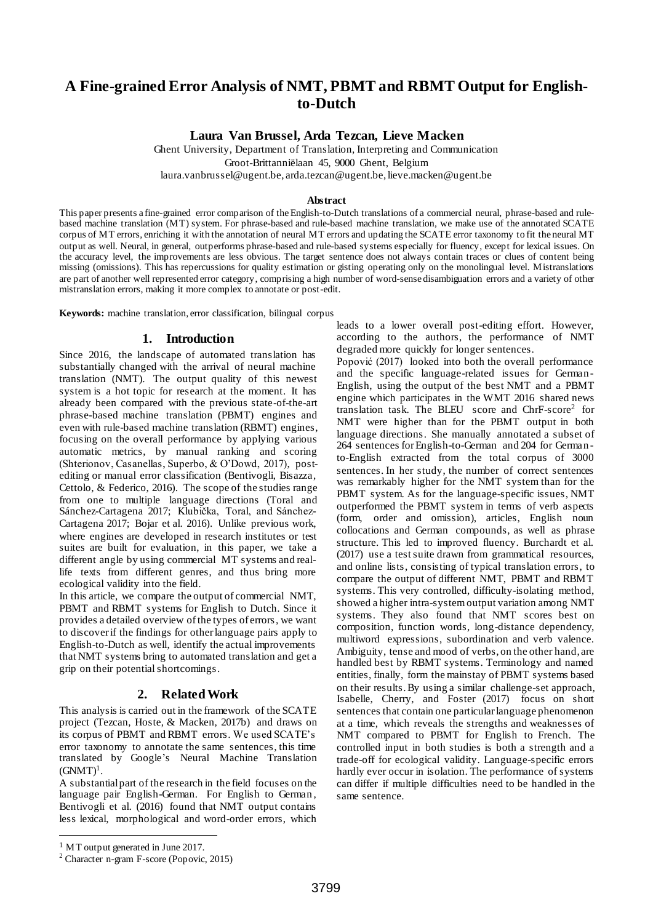# **A Fine-grained Error Analysis of NMT, PBMT and RBMT Output for Englishto-Dutch**

**Laura Van Brussel, Arda Tezcan, Lieve Macken**

Ghent University, Department of Translation, Interpreting and Communication Groot-Brittanniëlaan 45, 9000 Ghent, Belgium

laura.vanbrussel@ugent.be, arda.tezcan@ugent.be, lieve.macken@ugent.be

#### **Abstract**

This paper presents a fine-grained error comparison of the English-to-Dutch translations of a commercial neural, phrase-based and rulebased machine translation (MT) system. For phrase-based and rule-based machine translation, we make use of the annotated SCATE corpus of MT errors, enriching it with the annotation of neural MT errors and updating the SCATE error taxonomy to fit the neural MT output as well. Neural, in general, outperforms phrase-based and rule-based systems especially for fluency, except for lexical issues. On the accuracy level, the improvements are less obvious. The target sentence does not always contain traces or clues of content being missing (omissions). This has repercussions for quality estimation or gisting operating only on the monolingual level. Mistranslations are part of another well represented error category, comprising a high number of word-sense disambiguation errors and a variety of other mistranslation errors, making it more complex to annotate or post-edit.

**Keywords:** machine translation, error classification, bilingual corpus

#### **1. Introduction**

Since 2016, the landscape of automated translation has substantially changed with the arrival of neural machine translation (NMT). The output quality of this newest system is a hot topic for research at the moment. It has already been compared with the previous state-of-the-art phrase-based machine translation (PBMT) engines and even with rule-based machine translation (RBMT) engines, focusing on the overall performance by applying various automatic metrics, by manual ranking and scoring (Shterionov, Casanellas, Superbo, & O'Dowd, 2017), postediting or manual error classification (Bentivogli, Bisazza, Cettolo, & Federico, 2016). The scope of the studies range from one to multiple language directions (Toral and Sánchez-Cartagena 2017; Klubička, Toral, and Sánchez-Cartagena 2017; Bojar et al. 2016). Unlike previous work, where engines are developed in research institutes or test suites are built for evaluation, in this paper, we take a different angle by using commercial MT systems and reallife texts from different genres, and thus bring more ecological validity into the field.

In this article, we compare the output of commercial NMT, PBMT and RBMT systems for English to Dutch. Since it provides a detailed overview of the types of errors, we want to discover if the findings for other language pairs apply to English-to-Dutch as well, identify the actual improvements that NMT systems bring to automated translation and get a grip on their potential shortcomings.

### **2. Related Work**

This analysis is carried out in the framework of the SCATE project (Tezcan, Hoste, & Macken, 2017b) and draws on its corpus of PBMT and RBMT errors. We used SCATE's error taxonomy to annotate the same sentences, this time translated by Google's Neural Machine Translation  $(GNMT)^1$ .

A substantial part of the research in the field focuses on the language pair English-German. For English to German , Bentivogli et al. (2016) found that NMT output contains less lexical, morphological and word-order errors, which

leads to a lower overall post-editing effort. However, according to the authors, the performance of NMT degraded more quickly for longer sentences.

Popović (2017) looked into both the overall performance and the specific language-related issues for German-English, using the output of the best NMT and a PBMT engine which participates in the WMT 2016 shared news translation task. The BLEU score and ChrF-score<sup>2</sup> for NMT were higher than for the PBMT output in both language directions. She manually annotated a subset of 264 sentences for English-to-German and 204 for German to-English extracted from the total corpus of 3000 sentences. In her study, the number of correct sentences was remarkably higher for the NMT system than for the PBMT system. As for the language-specific issues, NMT outperformed the PBMT system in terms of verb aspects (form, order and omission), articles, English noun collocations and German compounds, as well as phrase structure. This led to improved fluency. Burchardt et al. (2017) use a test suite drawn from grammatical resources, and online lists, consisting of typical translation errors, to compare the output of different NMT, PBMT and RBMT systems. This very controlled, difficulty-isolating method, showed a higher intra-system output variation among NMT systems. They also found that NMT scores best on composition, function words, long-distance dependency, multiword expressions, subordination and verb valence. Ambiguity, tense and mood of verbs, on the other hand, are handled best by RBMT systems. Terminology and named entities, finally, form the mainstay of PBMT systems based on their results.By using a similar challenge-set approach, Isabelle, Cherry, and Foster (2017) focus on short sentences that contain one particular language phenomenon at a time, which reveals the strengths and weaknesses of NMT compared to PBMT for English to French. The controlled input in both studies is both a strength and a trade-off for ecological validity. Language-specific errors hardly ever occur in isolation. The performance of systems can differ if multiple difficulties need to be handled in the same sentence.

l

<sup>&</sup>lt;sup>1</sup> MT output generated in June 2017.

<sup>2</sup> Character n-gram F-score (Popovic, 2015)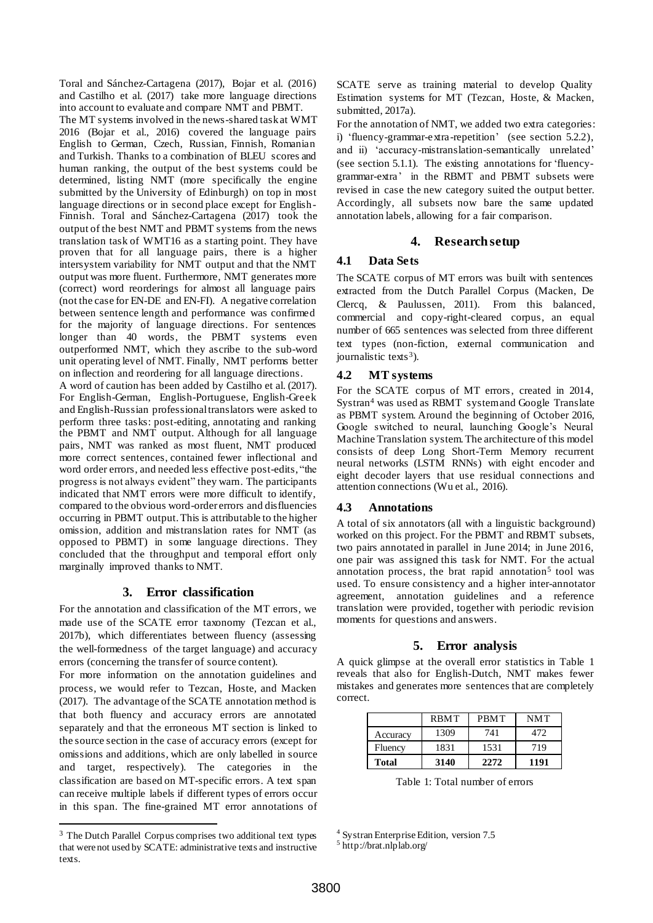Toral and Sánchez-Cartagena (2017), Bojar et al. (2016) and Castilho et al. (2017) take more language directions into account to evaluate and compare NMT and PBMT.

The MT systems involved in the news-shared task at WMT 2016 (Bojar et al., 2016) covered the language pairs English to German, Czech, Russian, Finnish, Romanian and Turkish. Thanks to a combination of BLEU scores and human ranking, the output of the best systems could be determined, listing NMT (more specifically the engine submitted by the University of Edinburgh) on top in most language directions or in second place except for English-Finnish. Toral and Sánchez-Cartagena (2017) took the output of the best NMT and PBMT systems from the news translation task of WMT16 as a starting point. They have proven that for all language pairs, there is a higher intersystem variability for NMT output and that the NMT output was more fluent. Furthermore, NMT generates more (correct) word reorderings for almost all language pairs (not the case for EN-DE and EN-FI). A negative correlation between sentence length and performance was confirmed for the majority of language directions. For sentences longer than 40 words, the PBMT systems even outperformed NMT, which they ascribe to the sub-word unit operating level of NMT. Finally, NMT performs better on inflection and reordering for all language directions. A word of caution has been added by Castilho et al. (2017). For English-German, English-Portuguese, English-Greek and English-Russian professional translators were asked to perform three tasks: post-editing, annotating and ranking the PBMT and NMT output. Although for all language pairs, NMT was ranked as most fluent, NMT produced more correct sentences, contained fewer inflectional and word order errors, and needed less effective post-edits, "the progress is not always evident" they warn. The participants

indicated that NMT errors were more difficult to identify, compared to the obvious word-order errors and disfluencies occurring in PBMT output. This is attributable to the higher omission, addition and mistranslation rates for NMT (as opposed to PBMT) in some language directions. They concluded that the throughput and temporal effort only marginally improved thanks to NMT.

# **3. Error classification**

For the annotation and classification of the MT errors, we made use of the SCATE error taxonomy (Tezcan et al., 2017b), which differentiates between fluency (assessing the well-formedness of the target language) and accuracy errors (concerning the transfer of source content).

For more information on the annotation guidelines and process, we would refer to Tezcan, Hoste, and Macken (2017). The advantage of the SCATE annotation method is that both fluency and accuracy errors are annotated separately and that the erroneous MT section is linked to the source section in the case of accuracy errors (except for omissions and additions, which are only labelled in source and target, respectively). The categories in the classification are based on MT-specific errors. A text span can receive multiple labels if different types of errors occur in this span. The fine-grained MT error annotations of

l

SCATE serve as training material to develop Quality Estimation systems for MT (Tezcan, Hoste, & Macken, submitted, 2017a).

For the annotation of NMT, we added two extra categories: i) 'fluency-grammar-extra-repetition' (see section 5.2.2), and ii) 'accuracy-mistranslation-semantically unrelated' (see section 5.1.1). The existing annotations for 'fluencygrammar-extra' in the RBMT and PBMT subsets were revised in case the new category suited the output better. Accordingly, all subsets now bare the same updated annotation labels, allowing for a fair comparison.

# **4. Research setup**

# **4.1 Data Sets**

The SCATE corpus of MT errors was built with sentences extracted from the Dutch Parallel Corpus (Macken, De Clercq, & Paulussen, 2011). From this balanced, commercial and copy-right-cleared corpus, an equal number of 665 sentences was selected from three different text types (non-fiction, external communication and journalistic texts<sup>3</sup>).

# **4.2 MT systems**

For the SCATE corpus of MT errors, created in 2014, Systran<sup>4</sup> was used as RBMT system and Google Translate as PBMT system. Around the beginning of October 2016, Google switched to neural, launching Google's Neural Machine Translation system.The architecture of this model consists of deep Long Short-Term Memory recurrent neural networks (LSTM RNNs) with eight encoder and eight decoder layers that use residual connections and attention connections (Wu et al., 2016).

# **4.3 Annotations**

A total of six annotators (all with a linguistic background) worked on this project. For the PBMT and RBMT subsets, two pairs annotated in parallel in June 2014; in June 2016, one pair was assigned this task for NMT. For the actual annotation process, the brat rapid annotation<sup>5</sup> tool was used. To ensure consistency and a higher inter-annotator agreement, annotation guidelines and a reference translation were provided, together with periodic revision moments for questions and answers.

# **5. Error analysis**

A quick glimpse at the overall error statistics in Table 1 reveals that also for English-Dutch, NMT makes fewer mistakes and generates more sentences that are completely correct.

|              | <b>RBMT</b> | <b>PRMT</b> | <b>NMT</b> |
|--------------|-------------|-------------|------------|
| Accuracy     | 1309        | 741         | 472        |
| Fluency      | 1831        | 1531        | 719        |
| <b>Total</b> | 3140        | 2272        | 1191       |

Table 1: Total number of errors

<sup>4</sup> Systran Enterprise Edition, version 7.5

<sup>&</sup>lt;sup>3</sup> The Dutch Parallel Corpus comprises two additional text types that were not used by SCATE: administrative texts and instructive texts.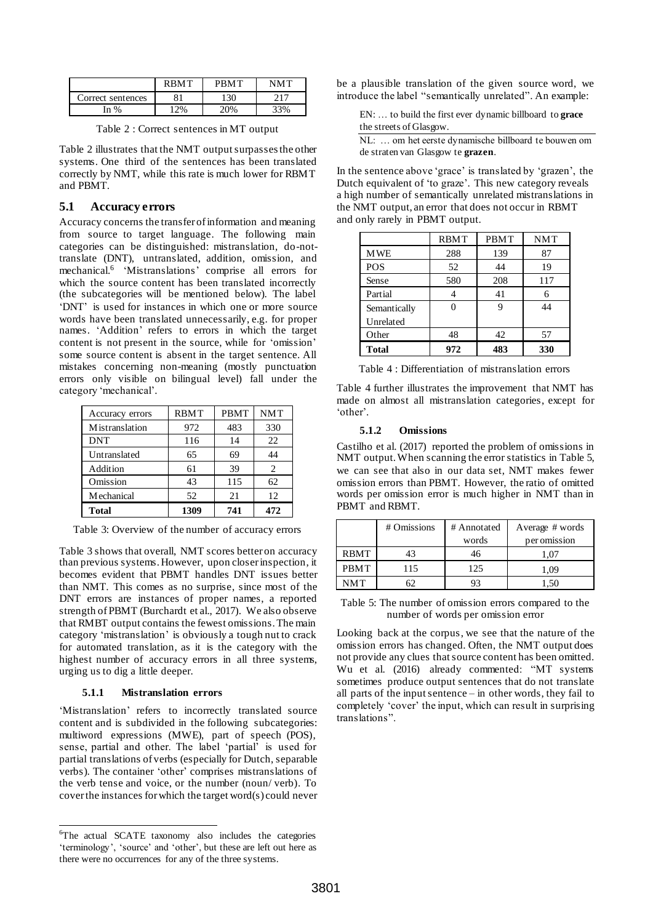|                   | <b>RRMT</b> | <b>PRMT</b> | NMT   |
|-------------------|-------------|-------------|-------|
| Correct sentences |             | 130         |       |
| In %              | 2%          | $(10\%)$    | $3\%$ |

Table 2 : Correct sentences in MT output

Table 2 illustrates that the NMT output surpasses the other systems. One third of the sentences has been translated correctly by NMT, while this rate is much lower for RBMT and PBMT.

### **5.1 Accuracy errors**

Accuracy concerns the transfer of information and meaning from source to target language. The following main categories can be distinguished: mistranslation, do-nottranslate (DNT), untranslated, addition, omission, and mechanical.<sup>6</sup> 'Mistranslations' comprise all errors for which the source content has been translated incorrectly (the subcategories will be mentioned below). The label 'DNT' is used for instances in which one or more source words have been translated unnecessarily, e.g. for proper names. 'Addition' refers to errors in which the target content is not present in the source, while for 'omission' some source content is absent in the target sentence. All mistakes concerning non-meaning (mostly punctuation errors only visible on bilingual level) fall under the category 'mechanical'.

| Accuracy errors   | <b>RBMT</b> | <b>PBMT</b> | <b>NMT</b> |
|-------------------|-------------|-------------|------------|
| Mistranslation    | 972         | 483         | 330        |
| <b>DNT</b>        | 116         | 14          | 22         |
| Untranslated      | 65          | 69          | 44         |
| Addition          | 61          | 39          | 2          |
| Omission          | 43          | 115         | 62         |
| <b>Mechanical</b> | 52          | 21          | 12         |
| <b>Total</b>      | 1309        | 741         | 472        |

Table 3: Overview of the number of accuracy errors

Table 3 shows that overall, NMT scores better on accuracy than previous systems. However, upon closer inspection, it becomes evident that PBMT handles DNT issues better than NMT. This comes as no surprise, since most of the DNT errors are instances of proper names, a reported strength of PBMT (Burchardt et al., 2017). We also observe that RMBT output contains the fewest omissions. The main category 'mistranslation' is obviously a tough nut to crack for automated translation, as it is the category with the highest number of accuracy errors in all three systems, urging us to dig a little deeper.

#### **5.1.1 Mistranslation errors**

l

'Mistranslation' refers to incorrectly translated source content and is subdivided in the following subcategories: multiword expressions (MWE), part of speech (POS), sense, partial and other. The label 'partial' is used for partial translations of verbs (especially for Dutch, separable verbs). The container 'other' comprises mistranslations of the verb tense and voice, or the number (noun/ verb). To cover the instances for which the target word(s) could never be a plausible translation of the given source word, we introduce the label "semantically unrelated". An example:

EN: … to build the first ever dynamic billboard to **grace** the streets of Glasgow.

NL: … om het eerste dynamische billboard te bouwen om de straten van Glasgow te **grazen**.

In the sentence above 'grace' is translated by 'grazen', the Dutch equivalent of 'to graze'. This new category reveals a high number of semantically unrelated mistranslations in the NMT output, an error that does not occur in RBMT and only rarely in PBMT output.

|              | <b>RBMT</b> | PBMT | <b>NMT</b> |
|--------------|-------------|------|------------|
| <b>MWE</b>   | 288         | 139  | 87         |
| <b>POS</b>   | 52          | 44   | 19         |
| Sense        | 580         | 208  | 117        |
| Partial      |             | 41   | 6          |
| Semantically |             | g    | 44         |
| Unrelated    |             |      |            |
| Other        | 48          | 42   | 57         |
| <b>Total</b> | 972         | 483  | 330        |

|  | Table 4 : Differentiation of mistranslation errors |  |
|--|----------------------------------------------------|--|
|--|----------------------------------------------------|--|

Table 4 further illustrates the improvement that NMT has made on almost all mistranslation categories, except for 'other'.

#### **5.1.2 Omissions**

Castilho et al. (2017) reported the problem of omissions in NMT output. When scanning the error statistics in Table 5, we can see that also in our data set, NMT makes fewer omission errors than PBMT. However, the ratio of omitted words per omission error is much higher in NMT than in PBMT and RBMT.

|             | # Omissions | # Annotated | Average # words |
|-------------|-------------|-------------|-----------------|
|             |             | words       | per omission    |
| <b>RBMT</b> | 43          | 46          | 1.07            |
| <b>PBMT</b> | 115         | 125         | 1.09            |
| NMT         |             | 93          |                 |

Table 5: The number of omission errors compared to the number of words per omission error

Looking back at the corpus, we see that the nature of the omission errors has changed. Often, the NMT output does not provide any clues that source content has been omitted. Wu et al. (2016) already commented: "MT systems sometimes produce output sentences that do not translate all parts of the input sentence – in other words, they fail to completely 'cover' the input, which can result in surprising translations".

<sup>6</sup>The actual SCATE taxonomy also includes the categories 'terminology', 'source' and 'other', but these are left out here as there were no occurrences for any of the three systems.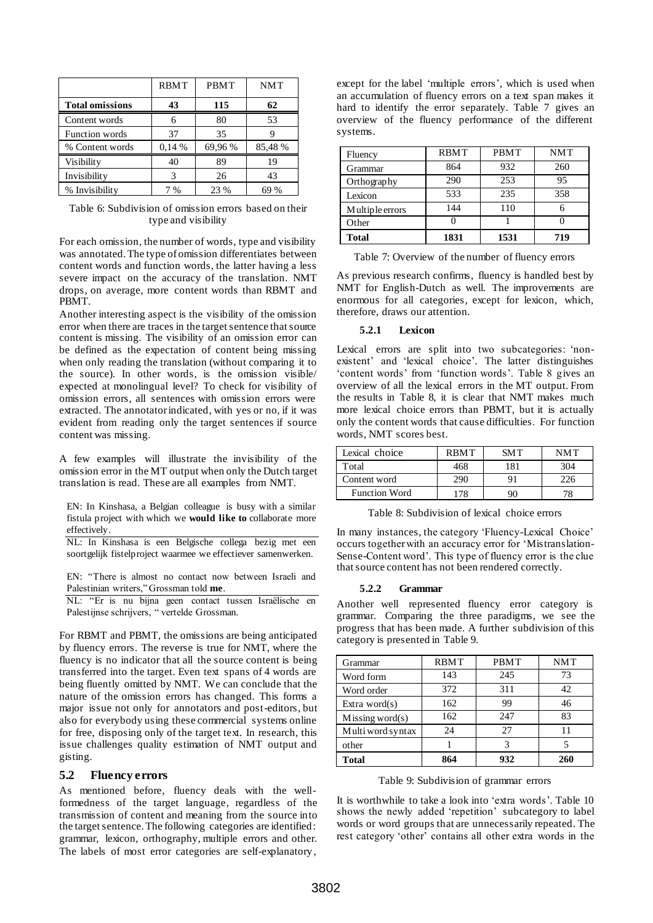|                        | <b>RBMT</b> | <b>PBMT</b> | <b>NMT</b> |
|------------------------|-------------|-------------|------------|
| <b>Total omissions</b> | 43          | 115         | 62         |
| Content words          | 6           | 80          | 53         |
| Function words         | 37          | 35          | g          |
| % Content words        | 0.14%       | 69,96 %     | 85,48 %    |
| Visibility             | 40          | 89          | 19         |
| Invisibility           | 3           | 26          | 43         |
| % Invisibility         | $\%$        | 23 %        | $\%$       |

Table 6: Subdivision of omission errors based on their type and visibility

For each omission, the number of words, type and visibility was annotated. The type of omission differentiates between content words and function words, the latter having a less severe impact on the accuracy of the translation. NMT drops, on average, more content words than RBMT and PBMT.

Another interesting aspect is the visibility of the omission error when there are traces in the target sentence that source content is missing. The visibility of an omission error can be defined as the expectation of content being missing when only reading the translation (without comparing it to the source). In other words, is the omission visible/ expected at monolingual level? To check for visibility of omission errors, all sentences with omission errors were extracted. The annotator indicated, with yes or no, if it was evident from reading only the target sentences if source content was missing.

A few examples will illustrate the invisibility of the omission error in the MT output when only the Dutch target translation is read. These are all examples from NMT.

EN: In Kinshasa, a Belgian colleague is busy with a similar fistula project with which we **would like to** collaborate more effectively.

NL: In Kinshasa is een Belgische collega bezig met een soortgelijk fistelproject waarmee we effectiever samenwerken.

EN: "There is almost no contact now between Israeli and Palestinian writers," Grossman told **me**.

NL: "Er is nu bijna geen contact tussen Israëlische en Palestijnse schrijvers, " vertelde Grossman.

For RBMT and PBMT, the omissions are being anticipated by fluency errors. The reverse is true for NMT, where the fluency is no indicator that all the source content is being transferred into the target. Even text spans of 4 words are being fluently omitted by NMT. We can conclude that the nature of the omission errors has changed. This forms a major issue not only for annotators and post-editors, but also for everybody using these commercial systems online for free, disposing only of the target text. In research, this issue challenges quality estimation of NMT output and gisting.

### **5.2 Fluency errors**

As mentioned before, fluency deals with the wellformedness of the target language, regardless of the transmission of content and meaning from the source into the target sentence. The following categories are identified: grammar, lexicon, orthography, multiple errors and other. The labels of most error categories are self-explanatory ,

except for the label 'multiple errors', which is used when an accumulation of fluency errors on a text span makes it hard to identify the error separately. Table 7 gives an overview of the fluency performance of the different systems.

| Fluency         | <b>RBMT</b> | <b>PBMT</b> | <b>NMT</b> |
|-----------------|-------------|-------------|------------|
| Grammar         | 864         | 932         | 260        |
| Orthography     | 290         | 253         | 95         |
| Lexicon         | 533         | 235         | 358        |
| Multiple errors | 144         | 110         |            |
| Other           |             |             |            |
| Total           | 1831        | 1531        | 719        |

Table 7: Overview of the number of fluency errors

As previous research confirms, fluency is handled best by NMT for English-Dutch as well. The improvements are enormous for all categories, except for lexicon, which, therefore, draws our attention.

### **5.2.1 Lexicon**

Lexical errors are split into two subcategories: 'nonexistent' and 'lexical choice'. The latter distinguishes 'content words' from 'function words'. Table 8 gives an overview of all the lexical errors in the MT output. From the results in Table 8, it is clear that NMT makes much more lexical choice errors than PBMT, but it is actually only the content words that cause difficulties. For function words, NMT scores best.

| Lexical choice       | <b>RBMT</b> | SM T | NM T |
|----------------------|-------------|------|------|
| Total                | 468         | 181  | 304  |
| Content word         | 290         | Q 1  | 226  |
| <b>Function Word</b> |             |      |      |

Table 8: Subdivision of lexical choice errors

In many instances, the category 'Fluency-Lexical Choice' occurs together with an accuracy error for 'Mistranslation-Sense-Content word'. This type of fluency error is the clue that source content has not been rendered correctly.

#### **5.2.2 Grammar**

Another well represented fluency error category is grammar. Comparing the three paradigms, we see the progress that has been made. A further subdivision of this category is presented in Table 9.

| Grammar               | <b>RBMT</b> | <b>PBMT</b> | <b>NMT</b> |
|-----------------------|-------------|-------------|------------|
| Word form             | 143         | 245         | 73         |
| Word order            | 372         | 311         | 42         |
| Extra word $(s)$      | 162         | 99          | 46         |
| $M$ issing word $(s)$ | 162         | 247         | 83         |
| Multi word syntax     | 24          | 27          | 11         |
| other                 |             | 3           |            |
| <b>Total</b>          | 864         | 932         | 260        |

Table 9: Subdivision of grammar errors

It is worthwhile to take a look into 'extra words'. Table 10 shows the newly added 'repetition' subcategory to label words or word groups that are unnecessarily repeated. The rest category 'other' contains all other extra words in the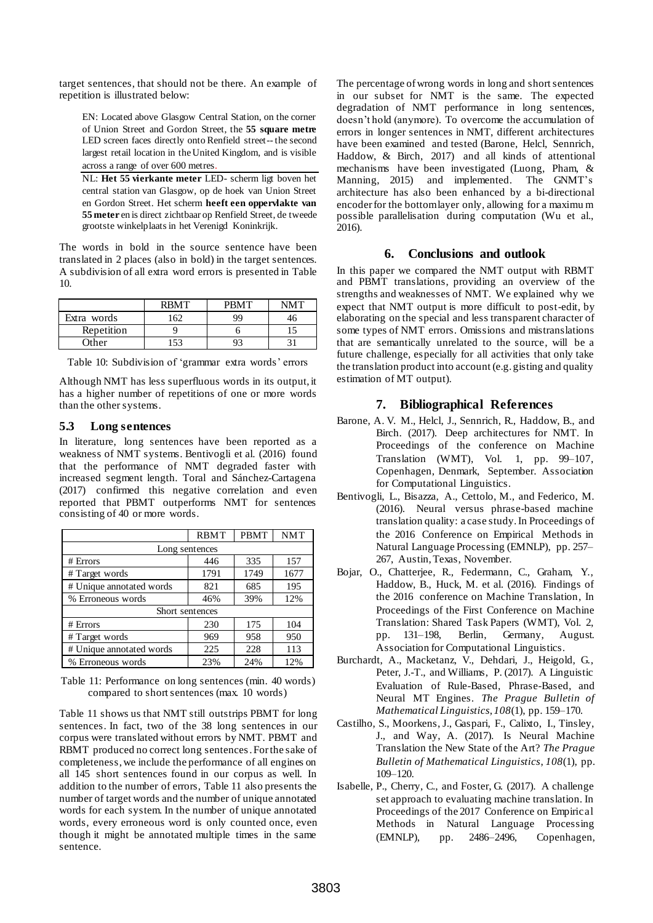target sentences, that should not be there. An example of repetition is illustrated below:

EN: Located above Glasgow Central Station, on the corner of Union Street and Gordon Street, the **55 square metre** LED screen faces directly onto Renfield street-- the second largest retail location in the United Kingdom, and is visible across a range of over 600 metres.

NL: **Het 55 vierkante meter** LED- scherm ligt boven het central station van Glasgow, op de hoek van Union Street en Gordon Street. Het scherm **heeft een oppervlakte van 55 meter** en is direct zichtbaar op Renfield Street, de tweede grootste winkelplaats in het Verenigd Koninkrijk.

The words in bold in the source sentence have been translated in 2 places (also in bold) in the target sentences. A subdivision of all extra word errors is presented in Table 10.

|             | <b>RRMT</b> | <b>PRMT</b> | NMT |
|-------------|-------------|-------------|-----|
| Extra words | .62         | 99          | 46  |
| Repetition  |             |             |     |
| Other       | 53          |             |     |

Table 10: Subdivision of 'grammar extra words' errors

Although NMT has less superfluous words in its output, it has a higher number of repetitions of one or more words than the other systems.

### **5.3 Long sentences**

In literature, long sentences have been reported as a weakness of NMT systems. Bentivogli et al. (2016) found that the performance of NMT degraded faster with increased segment length. Toral and Sánchez-Cartagena (2017) confirmed this negative correlation and even reported that PBMT outperforms NMT for sentences consisting of 40 or more words.

|                          | <b>RBMT</b>     | <b>PBMT</b> | <b>NMT</b> |  |  |
|--------------------------|-----------------|-------------|------------|--|--|
| Long sentences           |                 |             |            |  |  |
| # Errors                 | 446             | 335         | 157        |  |  |
| # Target words           | 1791            | 1749        | 1677       |  |  |
| # Unique annotated words | 821             | 685         | 195        |  |  |
| % Erroneous words        | 46%             | 39%         | 12%        |  |  |
|                          | Short sentences |             |            |  |  |
| # Errors                 | 230             | 175         | 104        |  |  |
| # Target words           | 969             | 958         | 950        |  |  |
| # Unique annotated words | 225             | 228         | 113        |  |  |
| % Erroneous words        | 23%             | 24%         | 12%        |  |  |

Table 11: Performance on long sentences (min. 40 words) compared to short sentences (max. 10 words)

Table 11 shows us that NMT still outstrips PBMT for long sentences. In fact, two of the 38 long sentences in our corpus were translated without errors by NMT. PBMT and RBMT produced no correct long sentences.For the sake of completeness,we include the performance of all engines on all 145 short sentences found in our corpus as well. In addition to the number of errors, Table 11 also presents the number of target words and the number of unique annotated words for each system. In the number of unique annotated words, every erroneous word is only counted once, even though it might be annotated multiple times in the same sentence.

The percentage of wrong words in long and short sentences in our subset for NMT is the same. The expected degradation of NMT performance in long sentences, doesn't hold (anymore). To overcome the accumulation of errors in longer sentences in NMT, different architectures have been examined and tested (Barone, Helcl, Sennrich, Haddow, & Birch, 2017) and all kinds of attentional mechanisms have been investigated (Luong, Pham, & Manning, 2015) and implemented. The GNMT's architecture has also been enhanced by a bi-directional encoder for the bottom layer only, allowing for a maximu m possible parallelisation during computation (Wu et al., 2016).

### **6. Conclusions and outlook**

In this paper we compared the NMT output with RBMT and PBMT translations, providing an overview of the strengths and weaknesses of NMT. We explained why we expect that NMT output is more difficult to post-edit, by elaborating on the special and less transparent character of some types of NMT errors. Omissions and mistranslations that are semantically unrelated to the source, will be a future challenge, especially for all activities that only take the translation product into account (e.g. gisting and quality estimation of MT output).

# **7. Bibliographical References**

- Barone, A. V. M., Helcl, J., Sennrich, R., Haddow, B., and Birch. (2017). Deep architectures for NMT. In Proceedings of the conference on Machine Translation (WMT), Vol. 1, pp. 99–107, Copenhagen, Denmark, September. Association for Computational Linguistics.
- Bentivogli, L., Bisazza, A., Cettolo, M., and Federico, M. (2016). Neural versus phrase-based machine translation quality: a case study. In Proceedings of the 2016 Conference on Empirical Methods in Natural Language Processing (EMNLP), pp. 257– 267, Austin, Texas, November.
- Bojar, O., Chatterjee, R., Federmann, C., Graham, Y., Haddow, B., Huck, M. et al. (2016). Findings of the 2016 conference on Machine Translation, In Proceedings of the First Conference on Machine Translation: Shared Task Papers (WMT), Vol. 2, pp. 131–198, Berlin, Germany, August. Association for Computational Linguistics.
- Burchardt, A., Macketanz, V., Dehdari, J., Heigold, G., Peter, J.-T., and Williams, P. (2017). A Linguistic Evaluation of Rule-Based, Phrase-Based, and Neural MT Engines. *The Prague Bulletin of Mathematical Linguistics*, *108*(1), pp. 159–170.
- Castilho, S., Moorkens, J., Gaspari, F., Calixto, I., Tinsley, J., and Way, A. (2017). Is Neural Machine Translation the New State of the Art? *The Prague Bulletin of Mathematical Linguistics*, *108*(1), pp. 109–120.
- Isabelle, P., Cherry, C., and Foster, G. (2017). A challenge set approach to evaluating machine translation. In Proceedings of the 2017 Conference on Empirical Methods in Natural Language Processing (EMNLP), pp. 2486–2496, Copenhagen,